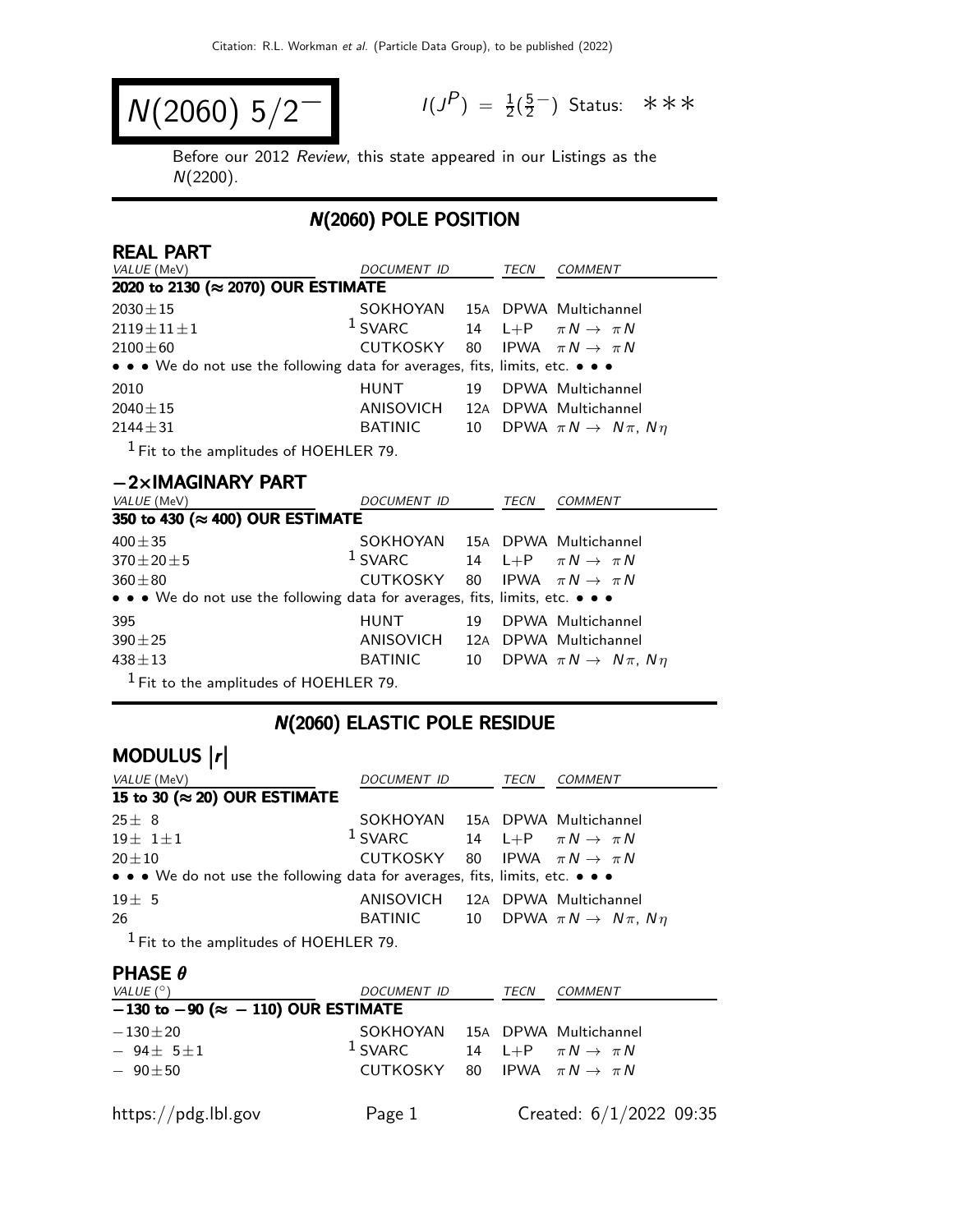$$
N(2060) 5/2^-
$$

 $P$ ) =  $\frac{1}{2}(\frac{5}{2})$ 2 <sup>−</sup>) Status: ∗∗∗

Before our 2012 Review, this state appeared in our Listings as the N(2200).

## N(2060) POLE POSITION

| <b>REAL PART</b>                                                              |                                                     |    |      |                                           |
|-------------------------------------------------------------------------------|-----------------------------------------------------|----|------|-------------------------------------------|
| VALUE (MeV)                                                                   | DOCUMENT ID                                         |    | TECN | COMMENT                                   |
| 2020 to 2130 (≈ 2070) OUR ESTIMATE                                            |                                                     |    |      |                                           |
| $2030 \pm 15$                                                                 | SOKHOYAN 15A DPWA Multichannel                      |    |      |                                           |
| $2119 \pm 11 \pm 1$                                                           | <sup>1</sup> SVARC 14 L+P $\pi N \rightarrow \pi N$ |    |      |                                           |
| $2100 \pm 60$                                                                 | CUTKOSKY 80 IPWA $\pi N \rightarrow \pi N$          |    |      |                                           |
| • • • We do not use the following data for averages, fits, limits, etc. • • • |                                                     |    |      |                                           |
| 2010                                                                          | HUNT                                                | 19 |      | DPWA Multichannel                         |
| $2040 + 15$                                                                   | ANISOVICH 12A DPWA Multichannel                     |    |      |                                           |
| $2144 \pm 31$                                                                 | BATINIC                                             | 10 |      | DPWA $\pi N \rightarrow N \pi$ , $N \eta$ |
| $1$ Fit to the amplitudes of HOEHLER 79.                                      |                                                     |    |      |                                           |

| $-2\times$ IMAGINARY PART                                                     |                                            |    |      |                                           |
|-------------------------------------------------------------------------------|--------------------------------------------|----|------|-------------------------------------------|
| <i>VALUE</i> (MeV)                                                            | <i>DOCUMENT ID</i>                         |    | TECN | <b>COMMENT</b>                            |
| 350 to 430 (≈ 400) OUR ESTIMATE                                               |                                            |    |      |                                           |
| $400 + 35$                                                                    | SOKHOYAN 15A DPWA Multichannel             |    |      |                                           |
| $370 \pm 20 \pm 5$                                                            | $1$ SVARC                                  |    |      | 14 L+P $\pi N \rightarrow \pi N$          |
| $360 \pm 80$                                                                  | CUTKOSKY 80 IPWA $\pi N \rightarrow \pi N$ |    |      |                                           |
| • • • We do not use the following data for averages, fits, limits, etc. • • • |                                            |    |      |                                           |
| 395                                                                           | HUNT                                       | 19 |      | DPWA Multichannel                         |
| $390 \pm 25$                                                                  | ANISOVICH 12A DPWA Multichannel            |    |      |                                           |
| $438 + 13$                                                                    | BATINIC                                    | 10 |      | DPWA $\pi N \rightarrow N \pi$ , $N \eta$ |
| $1$ Fit to the amplitudes of HOEHLER 79.                                      |                                            |    |      |                                           |

# N(2060) ELASTIC POLE RESIDUE

# MODULUS  $\vert r \vert$

| VALUE (MeV)                                                                   | <i>DOCUMENT ID</i>                                  | TECN | <i>COMMENT</i>                                       |
|-------------------------------------------------------------------------------|-----------------------------------------------------|------|------------------------------------------------------|
| 15 to 30 ( $\approx$ 20) OUR ESTIMATE                                         |                                                     |      |                                                      |
| $25 \pm 8$                                                                    | SOKHOYAN 15A DPWA Multichannel                      |      |                                                      |
| $19 \pm 1 \pm 1$                                                              | <sup>1</sup> SVARC 14 L+P $\pi N \rightarrow \pi N$ |      |                                                      |
| $20 \pm 10$                                                                   | CUTKOSKY 80 IPWA $\pi N \rightarrow \pi N$          |      |                                                      |
| • • • We do not use the following data for averages, fits, limits, etc. • • • |                                                     |      |                                                      |
| $19\pm5$                                                                      | ANISOVICH 12A DPWA Multichannel                     |      |                                                      |
| 26                                                                            |                                                     |      | BATINIC 10 DPWA $\pi N \rightarrow N \pi$ , $N \eta$ |
| $1 - 1$                                                                       |                                                     |      |                                                      |

1 Fit to the amplitudes of HOEHLER 79.

| <b>PHASE <math>\theta</math></b>                |                                            |      |                                  |
|-------------------------------------------------|--------------------------------------------|------|----------------------------------|
| VALUE $(^\circ)$                                | <i>DOCUMENT ID</i>                         | TECN | <b>COMMENT</b>                   |
| $-130$ to $-90$ ( $\approx -110$ ) OUR ESTIMATE |                                            |      |                                  |
| $-130\pm 20$                                    | SOKHOYAN 15A DPWA Multichannel             |      |                                  |
| $-94 + 5 + 1$                                   | $1$ SVARC                                  |      | 14 L+P $\pi N \rightarrow \pi N$ |
| $-90+50$                                        | CUTKOSKY 80 IPWA $\pi N \rightarrow \pi N$ |      |                                  |
|                                                 |                                            |      |                                  |
| https://pdg.lbl.gov                             | Page 1                                     |      | Created: $6/1/2022$ 09:35        |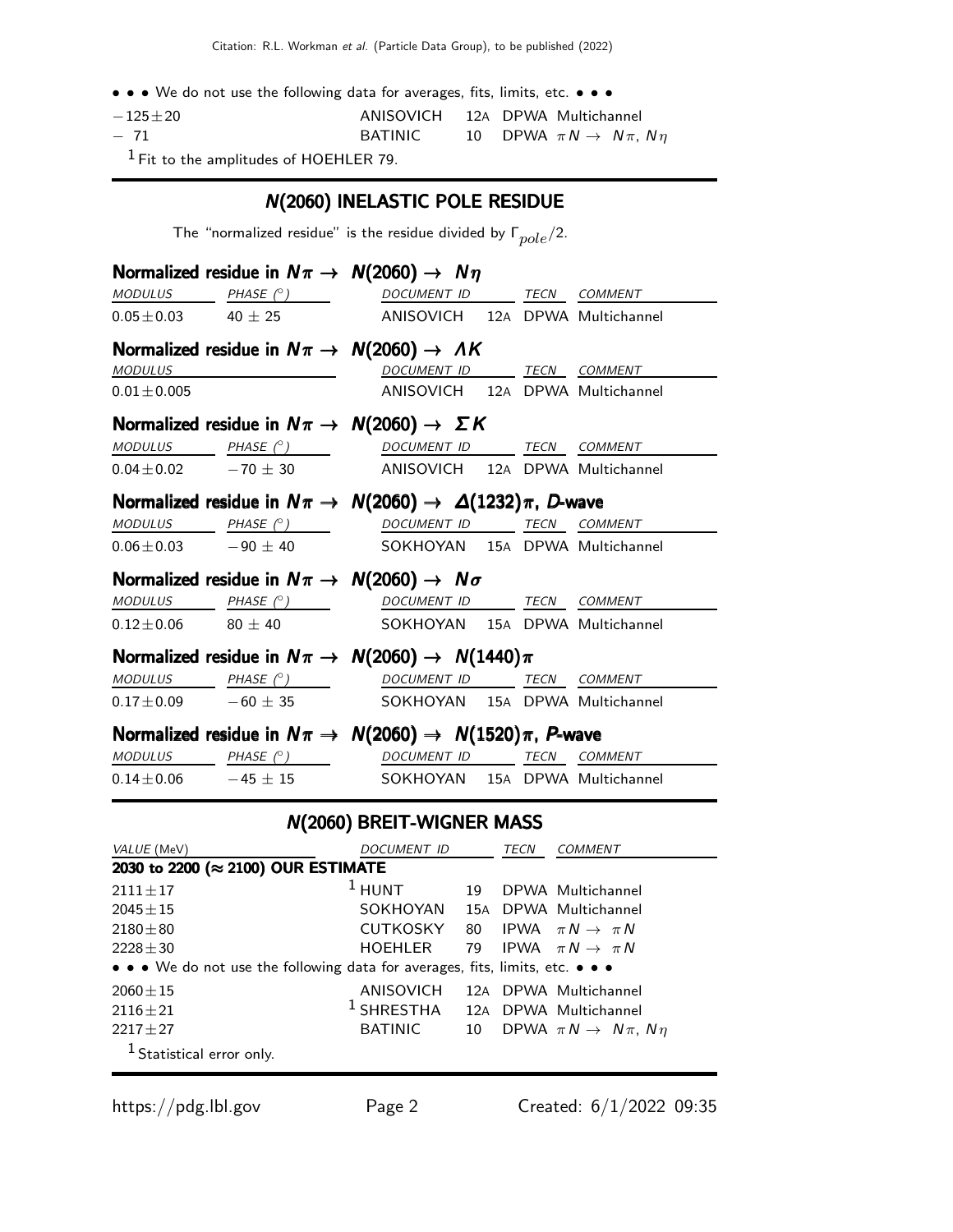• • • We do not use the following data for averages, fits, limits, etc. • • •

| $-125\pm 20$ | ANISOVICH 12A DPWA Multichannel |  |                                              |  |
|--------------|---------------------------------|--|----------------------------------------------|--|
| $-71$        | <b>BATINIC</b>                  |  | 10 DPWA $\pi N \rightarrow N \pi$ , $N \eta$ |  |

1 Fit to the amplitudes of HOEHLER 79.

#### N(2060) INELASTIC POLE RESIDUE

The "normalized residue" is the residue divided by  $\Gamma_{pole}/2$ .

|                  | Normalized residue in $N\pi \rightarrow N(2060) \rightarrow N\eta$                                                                                                                                                                                                                                                                                                                                                                                  |                                 |  |  |
|------------------|-----------------------------------------------------------------------------------------------------------------------------------------------------------------------------------------------------------------------------------------------------------------------------------------------------------------------------------------------------------------------------------------------------------------------------------------------------|---------------------------------|--|--|
|                  | MODULUS PHASE (° ) DOCUMENT ID TECN COMMENT                                                                                                                                                                                                                                                                                                                                                                                                         |                                 |  |  |
|                  | $0.05 \pm 0.03$ 40 $\pm$ 25 ANISOVICH 12A DPWA Multichannel                                                                                                                                                                                                                                                                                                                                                                                         |                                 |  |  |
|                  | Normalized residue in $N\pi \rightarrow N(2060) \rightarrow AK$                                                                                                                                                                                                                                                                                                                                                                                     |                                 |  |  |
| <b>MODULUS</b>   | <u>DOCUMENT ID TECN COMMENT</u>                                                                                                                                                                                                                                                                                                                                                                                                                     |                                 |  |  |
| $0.01 \pm 0.005$ |                                                                                                                                                                                                                                                                                                                                                                                                                                                     | ANISOVICH 12A DPWA Multichannel |  |  |
|                  | Normalized residue in $N\pi \rightarrow N(2060) \rightarrow \Sigma K$                                                                                                                                                                                                                                                                                                                                                                               |                                 |  |  |
|                  | $\begin{array}{ccccccccc} \textit{MODULUS} & \textit{PHASE}& \textcirclearrowright & \textit{DOCUMENT} & \textit{ID} & \textit{TECN} & \textit{COMMENT} & \textit{IMNIST} \end{array}$                                                                                                                                                                                                                                                              |                                 |  |  |
|                  | $0.04 \pm 0.02$ -70 $\pm$ 30 ANISOVICH 12A DPWA Multichannel                                                                                                                                                                                                                                                                                                                                                                                        |                                 |  |  |
|                  | Normalized residue in $N\pi \to N(2060) \to \Delta(1232)\pi$ , D-wave                                                                                                                                                                                                                                                                                                                                                                               |                                 |  |  |
|                  | $\underline{\textit{MODULUS}} \qquad \qquad \underline{\textit{PHASE (°)}} \qquad \qquad \underline{\textit{DOCUMENT ID}} \qquad \qquad \underline{\textit{TECN}} \quad \underline{\textit{COMMENT}}$                                                                                                                                                                                                                                               |                                 |  |  |
|                  | $0.06 \pm 0.03$ -90 $\pm$ 40 SOKHOYAN 15A DPWA Multichannel                                                                                                                                                                                                                                                                                                                                                                                         |                                 |  |  |
|                  | Normalized residue in $N\pi \rightarrow N(2060) \rightarrow N\sigma$                                                                                                                                                                                                                                                                                                                                                                                |                                 |  |  |
|                  | $\begin{array}{ccccccccc}\textit{MODULUS} & \textit{PHASE}&\textit{^{\circ})} & \textit{DOCUMENT} & \textit{ID} & \textit{TECN} & \textit{COMMENT} & \textit{1} & \textit{1} & \textit{1} & \textit{1} & \textit{1} & \textit{1} & \textit{1} & \textit{1} & \textit{1} & \textit{1} & \textit{1} & \textit{1} & \textit{1} & \textit{1} & \textit{1} & \textit{1} & \textit{1} & \textit{1} & \textit{1} & \textit{1} & \textit{1} & \textit{1} &$ |                                 |  |  |
|                  | $0.12 \pm 0.06$ 80 $\pm$ 40 SOKHOYAN 15A DPWA Multichannel                                                                                                                                                                                                                                                                                                                                                                                          |                                 |  |  |
|                  | Normalized residue in $N\pi \rightarrow N(2060) \rightarrow N(1440)\pi$                                                                                                                                                                                                                                                                                                                                                                             |                                 |  |  |
|                  | $\begin{array}{ccccccccc}\textit{MODULUS} & \textit{PHASE}&\textit{?}) & \textit{DOCUMENT ID} & \textit{TER} & \textit{COMMENT} \end{array}$                                                                                                                                                                                                                                                                                                        |                                 |  |  |
|                  | $0.17 \pm 0.09$ -60 $\pm$ 35 SOKHOYAN 15A DPWA Multichannel                                                                                                                                                                                                                                                                                                                                                                                         |                                 |  |  |
|                  | Normalized residue in $N\pi \rightarrow N(2060) \rightarrow N(1520)\pi$ , P-wave                                                                                                                                                                                                                                                                                                                                                                    |                                 |  |  |
|                  | $\begin{array}{ccccccccc}\textit{MODULUS} & \textit{PHASE}& @ & \textit{DOCUMENT} & \textit{ID} & \textit{TECN} & \textit{COMMENT} \end{array}$                                                                                                                                                                                                                                                                                                     |                                 |  |  |
|                  | $0.14 \pm 0.06$ -45 $\pm$ 15 SOKHOYAN 15A DPWA Multichannel                                                                                                                                                                                                                                                                                                                                                                                         |                                 |  |  |
|                  |                                                                                                                                                                                                                                                                                                                                                                                                                                                     | ALCOOCAL DOFIT MUCNED MAACC     |  |  |

#### N(2060) BREIT-WIGNER MASS

| VALUE (MeV)                                                                   | DOCUMENT ID    |    | <b>TECN</b> | COMMENT                                   |  |  |
|-------------------------------------------------------------------------------|----------------|----|-------------|-------------------------------------------|--|--|
| 2030 to 2200 (≈ 2100) OUR ESTIMATE                                            |                |    |             |                                           |  |  |
| $2111 + 17$                                                                   | $1$ HUNT       | 19 |             | DPWA Multichannel                         |  |  |
| $2045 + 15$                                                                   | SOKHOYAN       |    |             | 15A DPWA Multichannel                     |  |  |
| $2180 + 80$                                                                   | CUTKOSKY       | 80 |             | IPWA $\pi N \rightarrow \pi N$            |  |  |
| $2228 \pm 30$                                                                 | HOEHLER        |    |             | 79 IPWA $\pi N \rightarrow \pi N$         |  |  |
| • • • We do not use the following data for averages, fits, limits, etc. • • • |                |    |             |                                           |  |  |
| $2060 \pm 15$                                                                 | ANISOVICH      |    |             | 12A DPWA Multichannel                     |  |  |
| $2116 \pm 21$                                                                 | $^1$ SHRESTHA  |    |             | 12A DPWA Multichannel                     |  |  |
| $2217 + 27$                                                                   | <b>BATINIC</b> | 10 |             | DPWA $\pi N \rightarrow N \pi$ , $N \eta$ |  |  |
| <sup>1</sup> Statistical error only.                                          |                |    |             |                                           |  |  |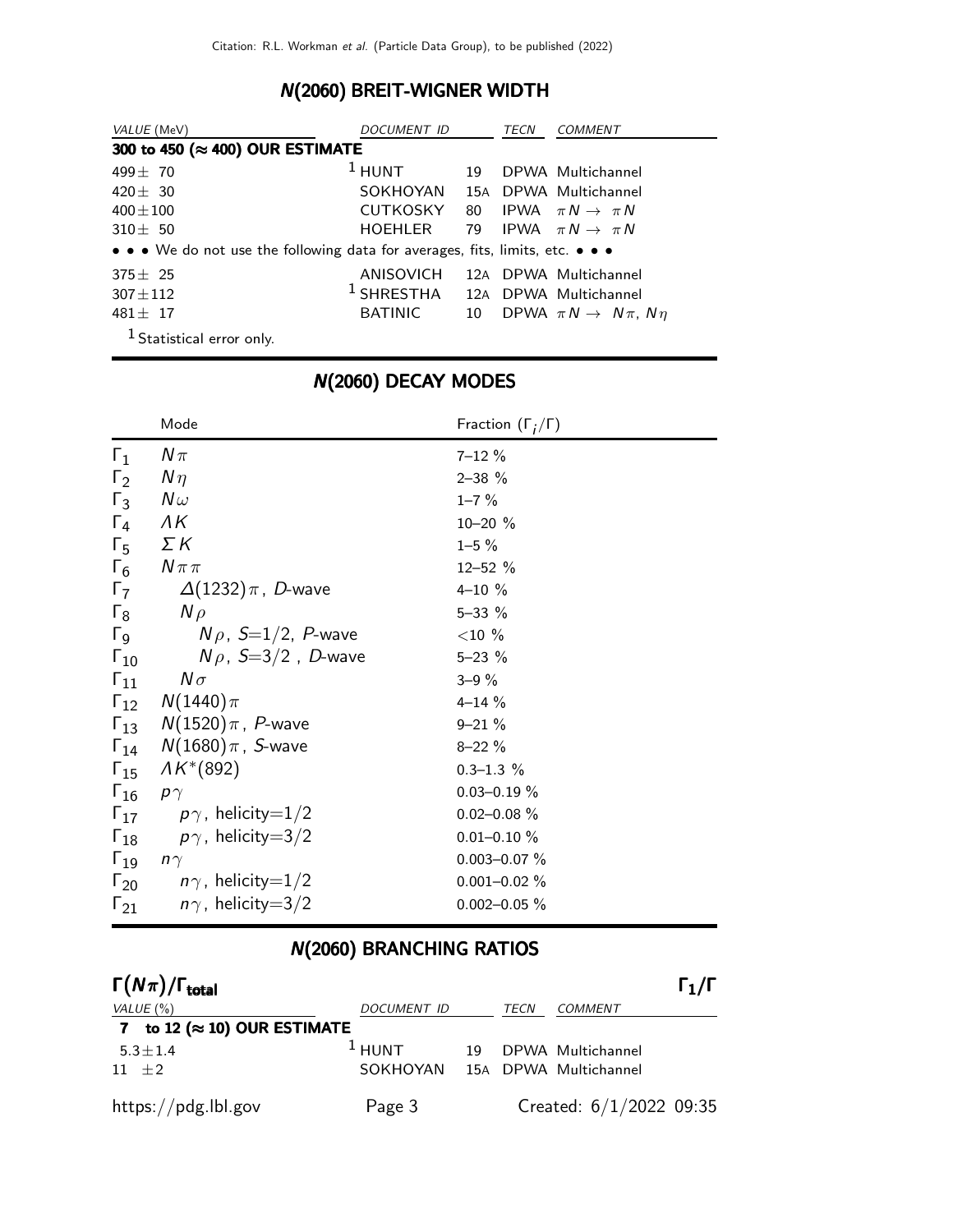## N(2060) BREIT-WIGNER WIDTH

| <i>VALUE</i> (MeV)                                                            | DOCUMENT ID                                 |    | TECN | <i>COMMENT</i>                            |  |  |  |
|-------------------------------------------------------------------------------|---------------------------------------------|----|------|-------------------------------------------|--|--|--|
| 300 to 450 (≈ 400) OUR ESTIMATE                                               |                                             |    |      |                                           |  |  |  |
| $499 + 70$                                                                    | $1$ HUNT                                    | 19 |      | DPWA Multichannel                         |  |  |  |
| $420 + 30$                                                                    | SOKHOYAN 15A DPWA Multichannel              |    |      |                                           |  |  |  |
| $400 + 100$                                                                   | CUTKOSKY                                    | 80 |      | IPWA $\pi N \rightarrow \pi N$            |  |  |  |
| $310 \pm 50$                                                                  | HOEHLER                                     |    |      | 79 IPWA $\pi N \rightarrow \pi N$         |  |  |  |
| • • • We do not use the following data for averages, fits, limits, etc. • • • |                                             |    |      |                                           |  |  |  |
| $375 \pm 25$                                                                  | ANISOVICH                                   |    |      | 12A DPWA Multichannel                     |  |  |  |
| $307 \pm 112$                                                                 | <sup>1</sup> SHRESTHA 12A DPWA Multichannel |    |      |                                           |  |  |  |
| $481 + 17$                                                                    | <b>BATINIC</b>                              | 10 |      | DPWA $\pi N \rightarrow N \pi$ , $N \eta$ |  |  |  |
| <sup>1</sup> Statistical error only.                                          |                                             |    |      |                                           |  |  |  |

|                         | Mode                                        | Fraction $(\Gamma_i/\Gamma)$ |
|-------------------------|---------------------------------------------|------------------------------|
| $\Gamma_1$              | $N\pi$                                      | $7 - 12 \%$                  |
| $\Gamma_2$              | $N\eta$                                     | $2 - 38$ %                   |
| $\Gamma_3$              | $N\omega$                                   | $1 - 7 \%$                   |
| $\Gamma_4$ $\Lambda K$  |                                             | $10 - 20$ %                  |
|                         | $\Gamma_5$ $\Sigma K$                       | $1 - 5 \%$                   |
|                         | $\Gamma_6$ $N \pi \pi$                      | $12 - 52 %$                  |
|                         | $\Gamma_7$ $\Delta(1232)\pi$ , D-wave       | $4 - 10 \%$                  |
|                         | $\Gamma_8$ $N \rho$                         | $5 - 33 \%$                  |
| $\Gamma_9$              | $N\rho$ , S=1/2, P-wave                     | $<$ 10 %                     |
| $\Gamma_{10}$           | $N \rho$ , $S=3/2$ , D-wave                 | $5 - 23 \%$                  |
|                         | $\Gamma_{11}$ $N\sigma$                     | $3 - 9\%$                    |
|                         | $\Gamma_{12}$ $N(1440)\pi$                  | $4 - 14%$                    |
|                         | $\Gamma_{13}$ $N(1520)\pi$ , <i>P</i> -wave | $9 - 21 \%$                  |
|                         | $\Gamma_{14}$ $N(1680)\pi$ , <i>S</i> -wave | $8 - 22 \%$                  |
|                         | $\Gamma_{15}$ $\Lambda K^{*}(892)$          | $0.3 - 1.3 \%$               |
| $\Gamma_{16}$ $p\gamma$ |                                             | $0.03 - 0.19 \%$             |
|                         | $\Gamma_{17}$ $p\gamma$ , helicity=1/2      | $0.02 - 0.08 \%$             |
|                         | $\Gamma_{18}$ $p\gamma$ , helicity=3/2      | $0.01 - 0.10 \%$             |
| $\Gamma_{19}$ $n\gamma$ |                                             | $0.003 - 0.07 \%$            |
|                         | $\Gamma_{20}$ $n\gamma$ , helicity=1/2      | $0.001 - 0.02 \%$            |
|                         | $\Gamma_{21}$ $n\gamma$ , helicity=3/2      | $0.002 - 0.05 \%$            |

## N(2060) DECAY MODES

## N(2060) BRANCHING RATIOS

| $\Gamma(N\pi)/\Gamma_{\rm total}$    |             |    |      |                           | $\Gamma_1/\Gamma$ |
|--------------------------------------|-------------|----|------|---------------------------|-------------------|
| VALUE $(\%)$                         | DOCUMENT ID |    | TECN | COMMENT                   |                   |
| 7 to 12 ( $\approx$ 10) OUR ESTIMATE |             |    |      |                           |                   |
| $5.3 \pm 1.4$                        | $1$ HUNT    | 19 |      | DPWA Multichannel         |                   |
| $11 \pm 2$                           | SOKHOYAN    |    |      | 15A DPWA Multichannel     |                   |
| https://pdg.lbl.gov                  | Page 3      |    |      | Created: $6/1/2022$ 09:35 |                   |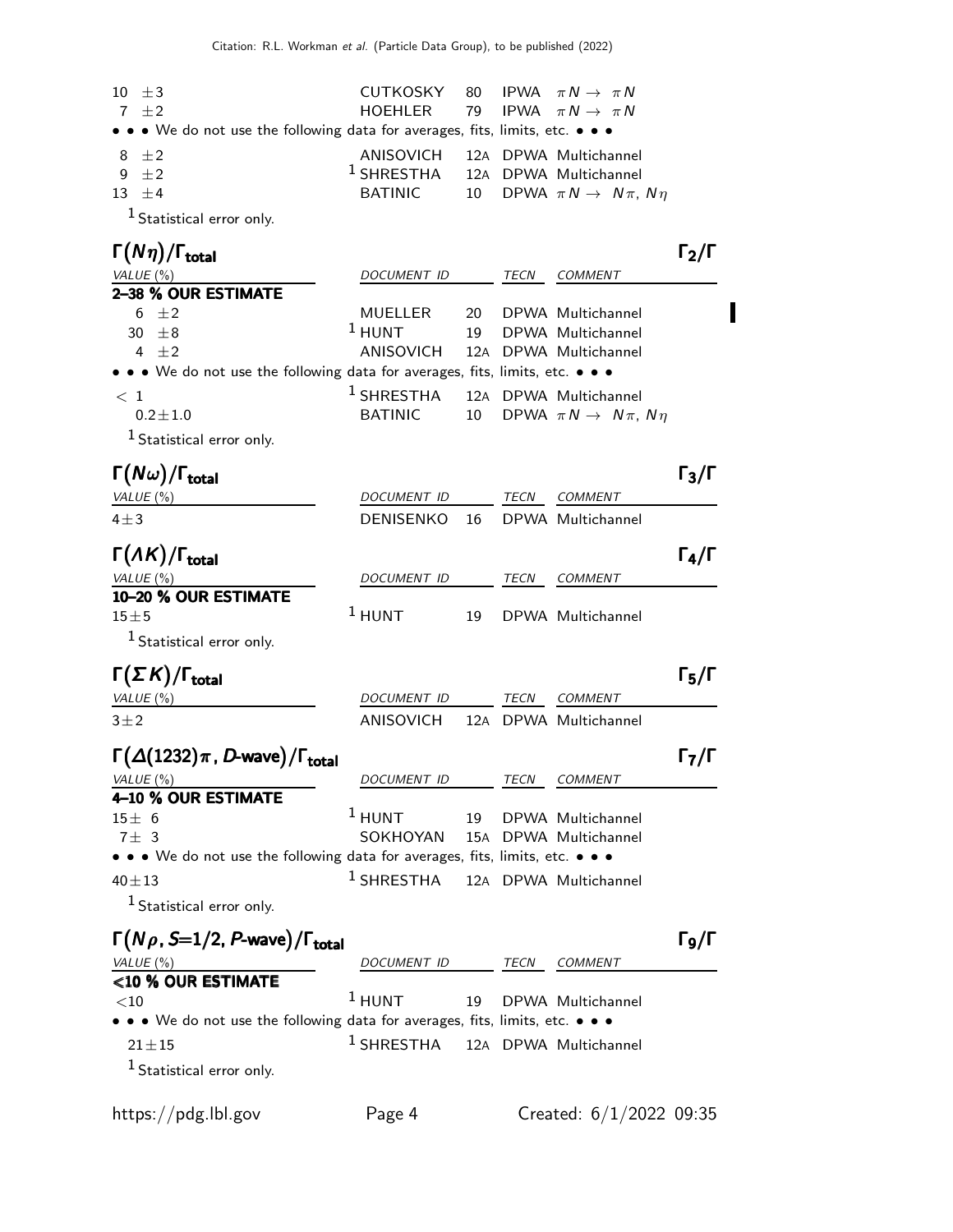| $10 \pm 3$                                                                    |         | CUTKOSKY 80 IPWA $\pi N \rightarrow \pi N$   |
|-------------------------------------------------------------------------------|---------|----------------------------------------------|
| $7 + 2$                                                                       |         | HOEHLER 79 IPWA $\pi N \rightarrow \pi N$    |
| • • • We do not use the following data for averages, fits, limits, etc. • • • |         |                                              |
| 8 $\pm 2$                                                                     |         | ANISOVICH 12A DPWA Multichannel              |
| $9 + 2$                                                                       |         | <sup>1</sup> SHRESTHA 12A DPWA Multichannel  |
| $13 + 4$                                                                      | BATINIC | 10 DPWA $\pi N \rightarrow N \pi$ , $N \eta$ |
| $1$ Ctatictical error only                                                    |         |                                              |

Statistical error only.

| $\Gamma(N\eta)/\Gamma_{\rm total}$                                            |                                             |             |                                                      | 12/1 |
|-------------------------------------------------------------------------------|---------------------------------------------|-------------|------------------------------------------------------|------|
| VALUE $(\% )$                                                                 | DOCUMENT ID                                 | <b>TECN</b> | <b>COMMENT</b>                                       |      |
| 2-38 % OUR ESTIMATE                                                           |                                             |             |                                                      |      |
| 6 $\pm 2$                                                                     | MUELLER 20 DPWA Multichannel                |             |                                                      |      |
| $30 \pm 8$                                                                    | $1$ HUNT<br>19                              |             | DPWA Multichannel                                    |      |
| 4 $\pm 2$                                                                     | ANISOVICH 12A DPWA Multichannel             |             |                                                      |      |
| • • • We do not use the following data for averages, fits, limits, etc. • • • |                                             |             |                                                      |      |
| $\langle 1$                                                                   | <sup>1</sup> SHRESTHA 12A DPWA Multichannel |             |                                                      |      |
| $0.2 \pm 1.0$                                                                 |                                             |             | BATINIC 10 DPWA $\pi N \rightarrow N \pi$ , $N \eta$ |      |
| <sup>1</sup> Statistical error only.                                          |                                             |             |                                                      |      |

Γ $(N\omega)/\Gamma_{\text{total}}$  $\Gamma$ <sub>total</sub>Γ<sub>3</sub>/Γ VALUE (%) DOCUMENT ID TECN COMMENT 4±3 DENISENKO 16 DPWA Multichannel  $\Gamma(\Lambda K)/\Gamma_{\text{total}}$  Γ<sub>4</sub>/Γ VALUE (%) DOCUMENT ID TECN COMMENT 10–20 % OUR ESTIMATE  $15\pm5$ 1 HUNT 19 DPWA Multichannel 1 Statistical error only.

#### Γ $(\Sigma K)/\Gamma_{\text{total}}$  Γ<sub>5</sub>/Γ

| VALUE (%) | <i>DOCUMENT ID</i>              | TFCN | COMMENT |
|-----------|---------------------------------|------|---------|
| $3\pm2$   | ANISOVICH 12A DPWA Multichannel |      |         |

| $\Gamma(\Delta(1232)\pi, D$ -wave)/ $\Gamma_{\text{total}}$                   |                                             |      |                | $\Gamma_7/\Gamma$ |
|-------------------------------------------------------------------------------|---------------------------------------------|------|----------------|-------------------|
| VALUE (%)                                                                     | <b>DOCUMENT ID</b>                          | TECN | <i>COMMENT</i> |                   |
| 4-10 % OUR ESTIMATE                                                           |                                             |      |                |                   |
| 15±6                                                                          | <sup>1</sup> HUNT 19 DPWA Multichannel      |      |                |                   |
| $7 + 3$                                                                       | SOKHOYAN 15A DPWA Multichannel              |      |                |                   |
| • • • We do not use the following data for averages, fits, limits, etc. • • • |                                             |      |                |                   |
| $40 + 13$                                                                     | <sup>1</sup> SHRESTHA 12A DPWA Multichannel |      |                |                   |

1 Statistical error only.

| $\Gamma(N\rho, S=1/2, P$ -wave)/ $\Gamma_{\text{total}}$                      |                                             |      |                      | Го/Г |
|-------------------------------------------------------------------------------|---------------------------------------------|------|----------------------|------|
| VALUE $(\% )$                                                                 | <i>DOCUMENT ID</i>                          | TECN | <b>COMMENT</b>       |      |
| <10 % OUR ESTIMATE                                                            |                                             |      |                      |      |
| ${<}10$                                                                       | $1$ HUNT                                    |      | 19 DPWA Multichannel |      |
| • • • We do not use the following data for averages, fits, limits, etc. • • • |                                             |      |                      |      |
| $21 + 15$                                                                     | <sup>1</sup> SHRESTHA 12A DPWA Multichannel |      |                      |      |
| <sup>1</sup> Statistical error only.                                          |                                             |      |                      |      |
|                                                                               |                                             |      |                      |      |

 $\blacksquare$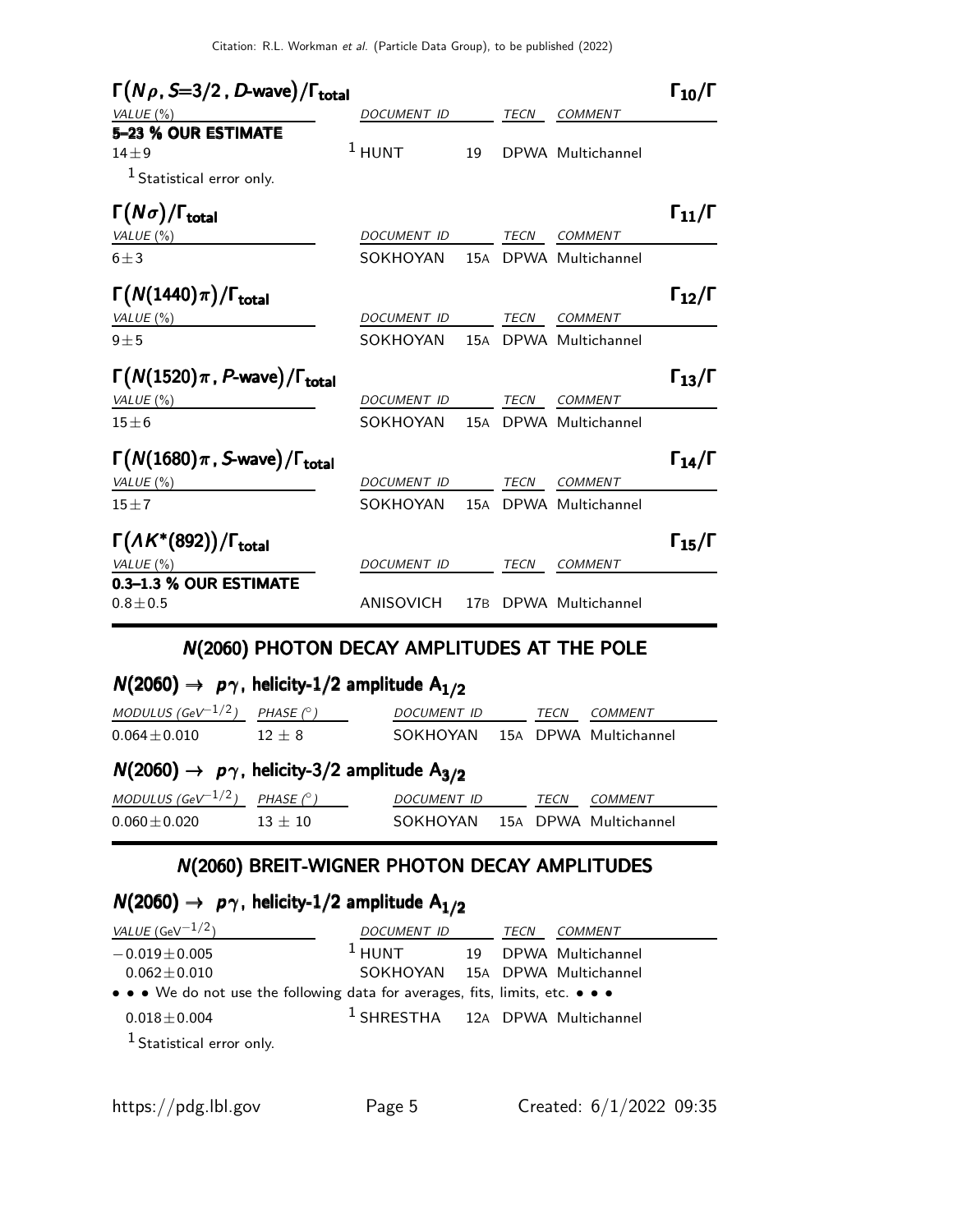| $\Gamma(N\rho, S=3/2, D$ -wave)/ $\Gamma_{\text{total}}$       |                    |     |             |                       | $\Gamma_{10}/\Gamma$ |
|----------------------------------------------------------------|--------------------|-----|-------------|-----------------------|----------------------|
| VALUE $(\%)$                                                   | DOCUMENT ID        |     | <b>TECN</b> | <b>COMMENT</b>        |                      |
| 5-23 % OUR ESTIMATE<br>$14\pm9$<br>$1$ Statistical error only. | $1$ HUNT           | 19  |             | DPWA Multichannel     |                      |
| $\Gamma(N\sigma)/\Gamma_{\rm total}$                           |                    |     |             |                       | $\Gamma_{11}/\Gamma$ |
| VALUE (%)                                                      | <b>DOCUMENT ID</b> |     | <b>TECN</b> | <b>COMMENT</b>        |                      |
| $6 \pm 3$                                                      | SOKHOYAN           | 15A |             | DPWA Multichannel     |                      |
| $\Gamma(N(1440)\pi)/\Gamma_{\rm total}$                        |                    |     |             |                       | $\Gamma_{12}/\Gamma$ |
| VALUE (%)                                                      | <b>DOCUMENT ID</b> |     | <b>TECN</b> | <b>COMMENT</b>        |                      |
| $9 + 5$                                                        | SOKHOYAN           |     |             | 15A DPWA Multichannel |                      |
| $\Gamma(N(1520)\pi, P$ -wave)/ $\Gamma_{\text{total}}$         |                    |     |             |                       | $\Gamma_{13}/\Gamma$ |
| VALUE $(\%)$                                                   | DOCUMENT ID        |     | TECN        | <b>COMMENT</b>        |                      |
| $15\pm 6$                                                      | SOKHOYAN           | 15A |             | DPWA Multichannel     |                      |
| $\Gamma(N(1680)\pi, S$ -wave)/ $\Gamma_{\text{total}}$         |                    |     |             |                       | $\Gamma_{14}/\Gamma$ |
| VALUE $(\%)$                                                   | <b>DOCUMENT ID</b> |     | <b>TECN</b> | <b>COMMENT</b>        |                      |
| $15 \pm 7$                                                     | SOKHOYAN           | 15A |             | DPWA Multichannel     |                      |
| $\Gamma(\Lambda K^*(892))/\Gamma_{\text{total}}$               |                    |     |             |                       | $\Gamma_{15}/\Gamma$ |
| VALUE $(\% )$                                                  | DOCUMENT ID        |     | <b>TECN</b> | <b>COMMENT</b>        |                      |
| 0.3-1.3 % OUR ESTIMATE<br>$0.8 \pm 0.5$                        | <b>ANISOVICH</b>   | 17B |             | DPWA Multichannel     |                      |

#### N(2060) PHOTON DECAY AMPLITUDES AT THE POLE

## $N(2060) \rightarrow p\gamma$ , helicity-1/2 amplitude  $A_{1/2}$

| MODULUS (GeV <sup>-1/2</sup> )                                          | PHASE $(^\circ)$ | <b>DOCUMENT ID</b> |  | TECN | COMMENT               |  |
|-------------------------------------------------------------------------|------------------|--------------------|--|------|-----------------------|--|
| $0.064 \pm 0.010$                                                       | $12 + 8$         | SOKHOYAN           |  |      | 15A DPWA Multichannel |  |
| $N(2060) \rightarrow p\gamma$ , helicity-3/2 amplitude A <sub>3/2</sub> |                  |                    |  |      |                       |  |
| MODULUS (GeV <sup>-1/2</sup> )                                          | PHASE $(^\circ)$ | <b>DOCUMENT ID</b> |  | TECN | COMMENT               |  |
| $0.060 \pm 0.020$                                                       | $13 + 10$        | SOKHOYAN           |  |      | 15A DPWA Multichannel |  |

# N(2060) BREIT-WIGNER PHOTON DECAY AMPLITUDES

## $N(2060) \rightarrow p\gamma$ , helicity-1/2 amplitude A<sub>1/2</sub>

| <i>VALUE</i> (GeV $^{-1/2}$ )                                                 | DOCUMENT ID                                 | TECN | <i>COMMENT</i>       |
|-------------------------------------------------------------------------------|---------------------------------------------|------|----------------------|
| $-0.019 \pm 0.005$                                                            | $1$ HUNT                                    |      | 19 DPWA Multichannel |
| $0.062 \pm 0.010$                                                             | SOKHOYAN 15A DPWA Multichannel              |      |                      |
| • • • We do not use the following data for averages, fits, limits, etc. • • • |                                             |      |                      |
| $0.018 \pm 0.004$                                                             | <sup>1</sup> SHRESTHA 12A DPWA Multichannel |      |                      |
| <sup>1</sup> Statistical error only.                                          |                                             |      |                      |